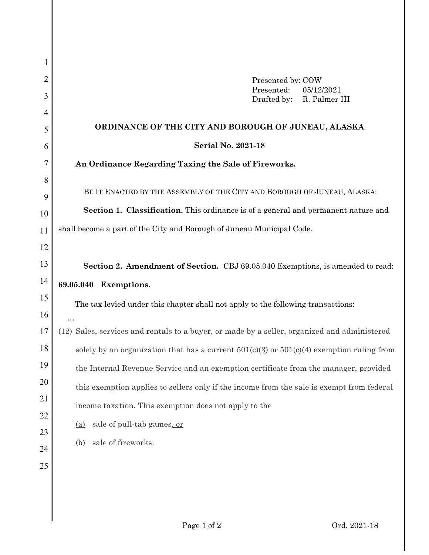| 1  |                                                                                               |
|----|-----------------------------------------------------------------------------------------------|
| 2  | Presented by: COW                                                                             |
| 3  | Presented:<br>05/12/2021<br>Drafted by:<br>R. Palmer III                                      |
| 4  |                                                                                               |
| 5  | ORDINANCE OF THE CITY AND BOROUGH OF JUNEAU, ALASKA                                           |
| 6  | <b>Serial No. 2021-18</b>                                                                     |
| 7  | An Ordinance Regarding Taxing the Sale of Fireworks.                                          |
| 8  |                                                                                               |
| 9  | BE IT ENACTED BY THE ASSEMBLY OF THE CITY AND BOROUGH OF JUNEAU, ALASKA:                      |
| 10 | Section 1. Classification. This ordinance is of a general and permanent nature and            |
| 11 | shall become a part of the City and Borough of Juneau Municipal Code.                         |
| 12 |                                                                                               |
| 13 | Section 2. Amendment of Section. CBJ 69.05.040 Exemptions, is amended to read:                |
| 14 | 69.05.040 Exemptions.                                                                         |
| 15 | The tax levied under this chapter shall not apply to the following transactions:              |
| 16 |                                                                                               |
| 17 | (12) Sales, services and rentals to a buyer, or made by a seller, organized and administered  |
| 18 | solely by an organization that has a current $501(c)(3)$ or $501(c)(4)$ exemption ruling from |
| 19 | the Internal Revenue Service and an exemption certificate from the manager, provided          |
| 20 | this exemption applies to sellers only if the income from the sale is exempt from federal     |
| 21 | income taxation. This exemption does not apply to the                                         |
| 22 | sale of pull-tab games, or<br><u>(a)</u>                                                      |
| 23 |                                                                                               |
| 24 | sale of fireworks.<br>(b)                                                                     |
| 25 |                                                                                               |
|    |                                                                                               |
|    |                                                                                               |